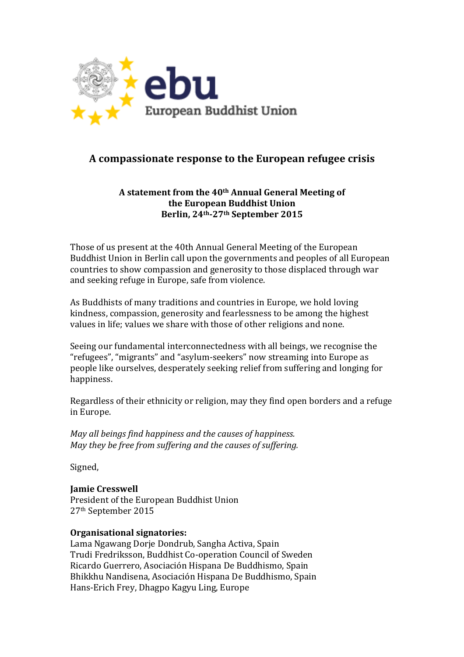

# **A compassionate response to the European refugee crisis**

### A statement from the 40<sup>th</sup> Annual General Meeting of **the European Buddhist Union Berlin, 24th-27th September 2015**

Those of us present at the 40th Annual General Meeting of the European Buddhist Union in Berlin call upon the governments and peoples of all European countries to show compassion and generosity to those displaced through war and seeking refuge in Europe, safe from violence.

As Buddhists of many traditions and countries in Europe, we hold loving kindness, compassion, generosity and fearlessness to be among the highest values in life; values we share with those of other religions and none.

Seeing our fundamental interconnectedness with all beings, we recognise the "refugees", "migrants" and "asylum-seekers" now streaming into Europe as people like ourselves, desperately seeking relief from suffering and longing for happiness.

Regardless of their ethnicity or religion, may they find open borders and a refuge in Europe.

*May all beings find happiness and the causes of happiness. May they be free from suffering and the causes of suffering.* 

Signed,

## **Jamie Cresswell**

President of the European Buddhist Union 27<sup>th</sup> September 2015

#### **Organisational signatories:**

Lama Ngawang Dorje Dondrub, Sangha Activa, Spain Trudi Fredriksson, Buddhist Co-operation Council of Sweden Ricardo Guerrero, Asociación Hispana De Buddhismo, Spain Bhikkhu Nandisena, Asociación Hispana De Buddhismo, Spain Hans-Erich Frey, Dhagpo Kagyu Ling, Europe